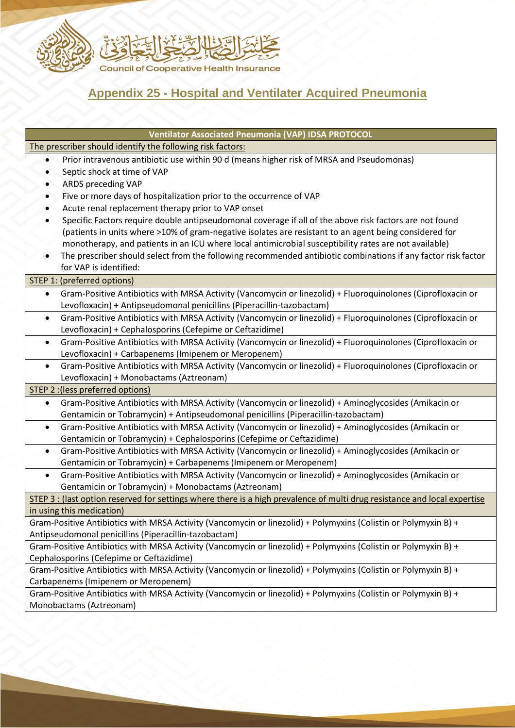

## **Appendix 25 - Hospital and Ventilater Acquired Pneumonia**

| <b>Ventilator Associated Pneumonia (VAP) IDSA PROTOCOL</b>                                                                 |
|----------------------------------------------------------------------------------------------------------------------------|
| The prescriber should identify the following risk factors:                                                                 |
| Prior intravenous antibiotic use within 90 d (means higher risk of MRSA and Pseudomonas)<br>$\bullet$                      |
| Septic shock at time of VAP<br>$\bullet$                                                                                   |
| <b>ARDS preceding VAP</b><br>$\bullet$                                                                                     |
| Five or more days of hospitalization prior to the occurrence of VAP<br>$\bullet$                                           |
| Acute renal replacement therapy prior to VAP onset                                                                         |
| Specific Factors require double antipseudomonal coverage if all of the above risk factors are not found                    |
| (patients in units where >10% of gram-negative isolates are resistant to an agent being considered for                     |
| monotherapy, and patients in an ICU where local antimicrobial susceptibility rates are not available)                      |
| The prescriber should select from the following recommended antibiotic combinations if any factor risk factor<br>$\bullet$ |
| for VAP is identified:                                                                                                     |
| <b>STEP 1: (preferred options)</b>                                                                                         |
| Gram-Positive Antibiotics with MRSA Activity (Vancomycin or linezolid) + Fluoroquinolones (Ciprofloxacin or<br>$\bullet$   |
| Levofloxacin) + Antipseudomonal penicillins (Piperacillin-tazobactam)                                                      |
| Gram-Positive Antibiotics with MRSA Activity (Vancomycin or linezolid) + Fluoroquinolones (Ciprofloxacin or<br>$\bullet$   |
| Levofloxacin) + Cephalosporins (Cefepime or Ceftazidime)                                                                   |
| Gram-Positive Antibiotics with MRSA Activity (Vancomycin or linezolid) + Fluoroquinolones (Ciprofloxacin or<br>$\bullet$   |
| Levofloxacin) + Carbapenems (Imipenem or Meropenem)                                                                        |
| Gram-Positive Antibiotics with MRSA Activity (Vancomycin or linezolid) + Fluoroquinolones (Ciprofloxacin or<br>$\bullet$   |
| Levofloxacin) + Monobactams (Aztreonam)                                                                                    |
| STEP 2 : (less preferred options)                                                                                          |
| Gram-Positive Antibiotics with MRSA Activity (Vancomycin or linezolid) + Aminoglycosides (Amikacin or<br>$\bullet$         |
| Gentamicin or Tobramycin) + Antipseudomonal penicillins (Piperacillin-tazobactam)                                          |
| Gram-Positive Antibiotics with MRSA Activity (Vancomycin or linezolid) + Aminoglycosides (Amikacin or<br>$\bullet$         |
| Gentamicin or Tobramycin) + Cephalosporins (Cefepime or Ceftazidime)                                                       |
| Gram-Positive Antibiotics with MRSA Activity (Vancomycin or linezolid) + Aminoglycosides (Amikacin or<br>$\bullet$         |
| Gentamicin or Tobramycin) + Carbapenems (Imipenem or Meropenem)                                                            |
| Gram-Positive Antibiotics with MRSA Activity (Vancomycin or linezolid) + Aminoglycosides (Amikacin or<br>$\bullet$         |
| Gentamicin or Tobramycin) + Monobactams (Aztreonam)                                                                        |
| STEP 3 : (last option reserved for settings where there is a high prevalence of multi drug resistance and local expertise  |
| in using this medication)                                                                                                  |
| Gram-Positive Antibiotics with MRSA Activity (Vancomycin or linezolid) + Polymyxins (Colistin or Polymyxin B) +            |
| Antipseudomonal penicillins (Piperacillin-tazobactam)                                                                      |
| Gram-Positive Antibiotics with MRSA Activity (Vancomycin or linezolid) + Polymyxins (Colistin or Polymyxin B) +            |
| Cephalosporins (Cefepime or Ceftazidime)                                                                                   |
| Gram-Positive Antibiotics with MRSA Activity (Vancomycin or linezolid) + Polymyxins (Colistin or Polymyxin B) +            |
| Carbapenems (Imipenem or Meropenem)                                                                                        |
| Gram-Positive Antibiotics with MRSA Activity (Vancomycin or linezolid) + Polymyxins (Colistin or Polymyxin B) +            |
| Monobactams (Aztreonam)                                                                                                    |